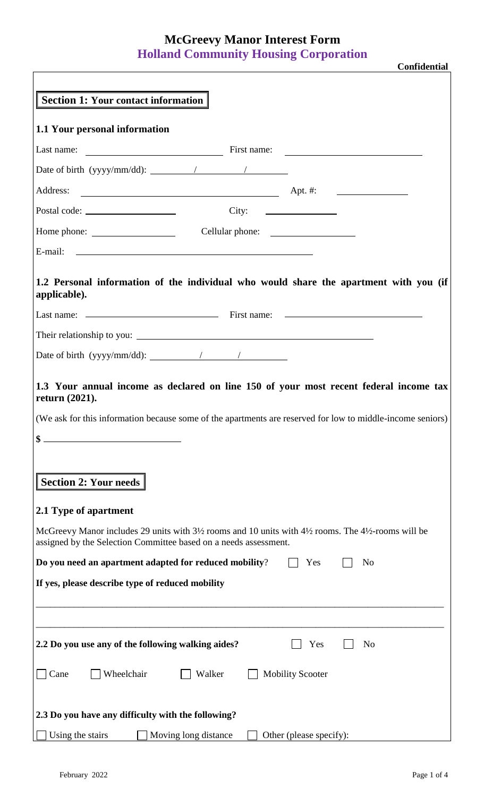## **McGreevy Manor Interest Form Holland Community Housing Corporation**

| <b>Section 1: Your contact information</b>                                                                                                                                                               |                      |                                           |                         |                |  |
|----------------------------------------------------------------------------------------------------------------------------------------------------------------------------------------------------------|----------------------|-------------------------------------------|-------------------------|----------------|--|
| 1.1 Your personal information                                                                                                                                                                            |                      |                                           |                         |                |  |
|                                                                                                                                                                                                          |                      |                                           |                         |                |  |
| Date of birth (yyyy/mm/dd): $\frac{1}{2}$                                                                                                                                                                |                      |                                           |                         |                |  |
| Address:<br>$Apt.$ #:                                                                                                                                                                                    |                      |                                           |                         |                |  |
|                                                                                                                                                                                                          |                      | $City: \quad \qquad \qquad \qquad \qquad$ |                         |                |  |
|                                                                                                                                                                                                          |                      |                                           |                         |                |  |
|                                                                                                                                                                                                          |                      |                                           |                         |                |  |
| 1.2 Personal information of the individual who would share the apartment with you (if<br>applicable).                                                                                                    |                      |                                           |                         |                |  |
|                                                                                                                                                                                                          |                      |                                           |                         |                |  |
|                                                                                                                                                                                                          |                      |                                           |                         |                |  |
| Date of birth (yyyy/mm/dd): $\frac{1}{2}$                                                                                                                                                                |                      |                                           |                         |                |  |
| (We ask for this information because some of the apartments are reserved for low to middle-income seniors)<br><b>Section 2: Your needs</b>                                                               |                      |                                           |                         |                |  |
| 2.1 Type of apartment                                                                                                                                                                                    |                      |                                           |                         |                |  |
| McGreevy Manor includes 29 units with $3\frac{1}{2}$ rooms and 10 units with $4\frac{1}{2}$ rooms. The $4\frac{1}{2}$ -rooms will be<br>assigned by the Selection Committee based on a needs assessment. |                      |                                           |                         |                |  |
| Do you need an apartment adapted for reduced mobility?                                                                                                                                                   |                      |                                           | Yes                     | N <sub>o</sub> |  |
| If yes, please describe type of reduced mobility                                                                                                                                                         |                      |                                           |                         |                |  |
| 2.2 Do you use any of the following walking aides?                                                                                                                                                       |                      |                                           | Yes                     | N <sub>o</sub> |  |
| Wheelchair<br>Cane                                                                                                                                                                                       | Walker               | <b>Mobility Scooter</b>                   |                         |                |  |
| 2.3 Do you have any difficulty with the following?                                                                                                                                                       |                      |                                           |                         |                |  |
| Using the stairs                                                                                                                                                                                         | Moving long distance |                                           | Other (please specify): |                |  |

**Confidential**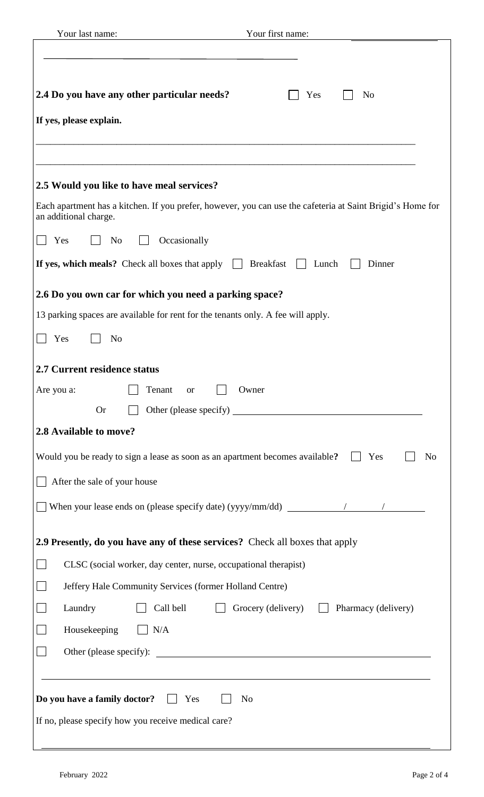| Your last name:<br>Your first name:                                                                                                 |
|-------------------------------------------------------------------------------------------------------------------------------------|
| 2.4 Do you have any other particular needs?<br>Yes<br>N <sub>o</sub><br>If yes, please explain.                                     |
| 2.5 Would you like to have meal services?                                                                                           |
| Each apartment has a kitchen. If you prefer, however, you can use the cafeteria at Saint Brigid's Home for<br>an additional charge. |
| Occasionally<br>Yes<br>No                                                                                                           |
| If yes, which meals? Check all boxes that apply $\Box$<br><b>Breakfast</b><br>Lunch<br>Dinner                                       |
| 2.6 Do you own car for which you need a parking space?                                                                              |
| 13 parking spaces are available for rent for the tenants only. A fee will apply.                                                    |
| Yes<br>N <sub>o</sub>                                                                                                               |
| 2.7 Current residence status                                                                                                        |
| Are you a:<br>Tenant<br>Owner<br><b>or</b>                                                                                          |
| <b>Or</b>                                                                                                                           |
| 2.8 Available to move?                                                                                                              |
| Would you be ready to sign a lease as soon as an apartment becomes available?<br>Yes<br>N <sub>0</sub>                              |
| After the sale of your house                                                                                                        |
| When your lease ends on (please specify date) (yyyy/mm/dd) $\frac{\ }{\ }$                                                          |
| 2.9 Presently, do you have any of these services? Check all boxes that apply                                                        |
| CLSC (social worker, day center, nurse, occupational therapist)                                                                     |
| Jeffery Hale Community Services (former Holland Centre)                                                                             |
| Call bell<br>Laundry<br>Grocery (delivery)<br>Pharmacy (delivery)                                                                   |
| Housekeeping<br>N/A                                                                                                                 |
|                                                                                                                                     |
| Do you have a family doctor?<br>Yes<br>N <sub>o</sub><br>If no, please specify how you receive medical care?                        |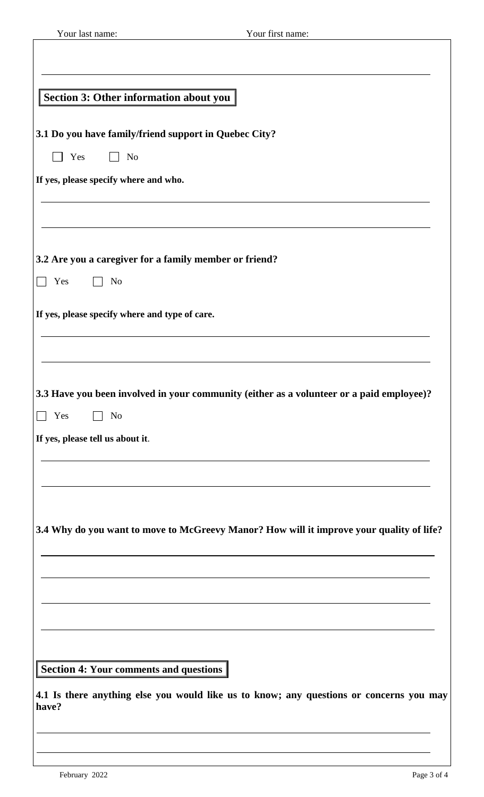| Your last name:                                                                | Your first name:                                                                         |
|--------------------------------------------------------------------------------|------------------------------------------------------------------------------------------|
|                                                                                |                                                                                          |
|                                                                                |                                                                                          |
| Section 3: Other information about you                                         |                                                                                          |
|                                                                                |                                                                                          |
| 3.1 Do you have family/friend support in Quebec City?<br>Yes<br>N <sub>o</sub> |                                                                                          |
| If yes, please specify where and who.                                          |                                                                                          |
|                                                                                |                                                                                          |
|                                                                                |                                                                                          |
|                                                                                |                                                                                          |
| 3.2 Are you a caregiver for a family member or friend?                         |                                                                                          |
| Yes<br>N <sub>o</sub>                                                          |                                                                                          |
| If yes, please specify where and type of care.                                 |                                                                                          |
|                                                                                |                                                                                          |
|                                                                                |                                                                                          |
|                                                                                |                                                                                          |
| Yes<br>$\Box$ No                                                               | 3.3 Have you been involved in your community (either as a volunteer or a paid employee)? |
| If yes, please tell us about it.                                               |                                                                                          |
|                                                                                |                                                                                          |
|                                                                                |                                                                                          |
|                                                                                |                                                                                          |
|                                                                                | 3.4 Why do you want to move to McGreevy Manor? How will it improve your quality of life? |
|                                                                                |                                                                                          |
|                                                                                |                                                                                          |
|                                                                                |                                                                                          |
|                                                                                |                                                                                          |
|                                                                                |                                                                                          |
|                                                                                |                                                                                          |
|                                                                                |                                                                                          |
|                                                                                |                                                                                          |
| Section 4: Your comments and questions<br>have?                                | 4.1 Is there anything else you would like us to know; any questions or concerns you may  |